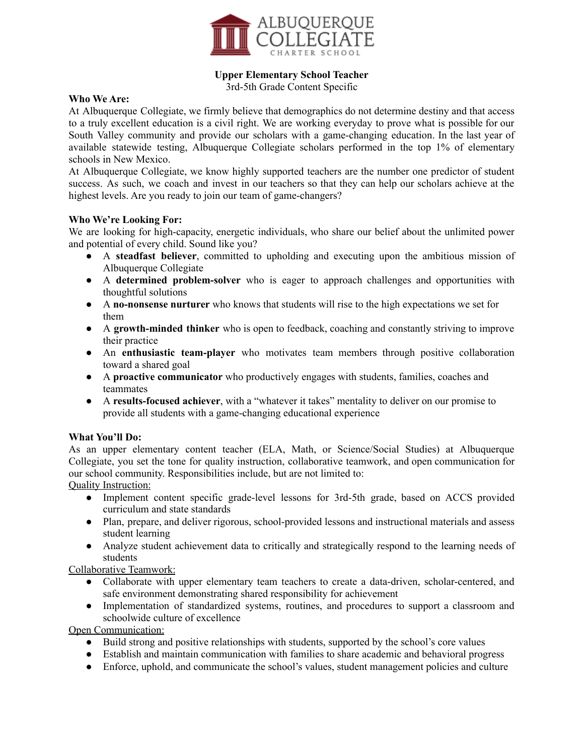

# **Upper Elementary School Teacher**

3rd-5th Grade Content Specific

#### **Who We Are:**

At Albuquerque Collegiate, we firmly believe that demographics do not determine destiny and that access to a truly excellent education is a civil right. We are working everyday to prove what is possible for our South Valley community and provide our scholars with a game-changing education. In the last year of available statewide testing, Albuquerque Collegiate scholars performed in the top 1% of elementary schools in New Mexico.

At Albuquerque Collegiate, we know highly supported teachers are the number one predictor of student success. As such, we coach and invest in our teachers so that they can help our scholars achieve at the highest levels. Are you ready to join our team of game-changers?

#### **Who We're Looking For:**

We are looking for high-capacity, energetic individuals, who share our belief about the unlimited power and potential of every child. Sound like you?

- A **steadfast believer**, committed to upholding and executing upon the ambitious mission of Albuquerque Collegiate
- A **determined problem-solver** who is eager to approach challenges and opportunities with thoughtful solutions
- A **no-nonsense nurturer** who knows that students will rise to the high expectations we set for them
- A **growth-minded thinker** who is open to feedback, coaching and constantly striving to improve their practice
- An **enthusiastic team-player** who motivates team members through positive collaboration toward a shared goal
- A **proactive communicator** who productively engages with students, families, coaches and teammates
- A **results-focused achiever**, with a "whatever it takes" mentality to deliver on our promise to provide all students with a game-changing educational experience

## **What You'll Do:**

As an upper elementary content teacher (ELA, Math, or Science/Social Studies) at Albuquerque Collegiate, you set the tone for quality instruction, collaborative teamwork, and open communication for our school community. Responsibilities include, but are not limited to:

Quality Instruction:

- Implement content specific grade-level lessons for 3rd-5th grade, based on ACCS provided curriculum and state standards
- Plan, prepare, and deliver rigorous, school-provided lessons and instructional materials and assess student learning
- Analyze student achievement data to critically and strategically respond to the learning needs of students

## Collaborative Teamwork:

- Collaborate with upper elementary team teachers to create a data-driven, scholar-centered, and safe environment demonstrating shared responsibility for achievement
- Implementation of standardized systems, routines, and procedures to support a classroom and schoolwide culture of excellence

Open Communication:

- Build strong and positive relationships with students, supported by the school's core values
- Establish and maintain communication with families to share academic and behavioral progress
- Enforce, uphold, and communicate the school's values, student management policies and culture